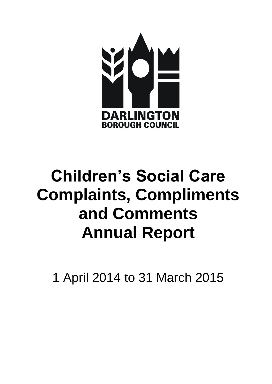

# **Children's Social Care Complaints, Compliments and Comments Annual Report**

1 April 2014 to 31 March 2015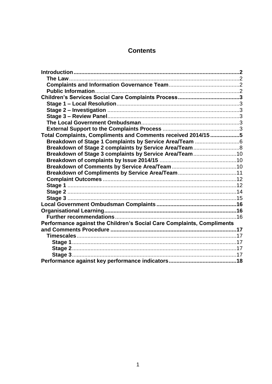# **Contents**

| Total Complaints, Compliments and Comments received 2014/15 5          |  |
|------------------------------------------------------------------------|--|
|                                                                        |  |
|                                                                        |  |
| Breakdown of Stage 3 complaints by Service Area/Team10                 |  |
|                                                                        |  |
|                                                                        |  |
|                                                                        |  |
|                                                                        |  |
|                                                                        |  |
|                                                                        |  |
|                                                                        |  |
|                                                                        |  |
|                                                                        |  |
|                                                                        |  |
| Performance against the Children's Social Care Complaints, Compliments |  |
|                                                                        |  |
|                                                                        |  |
|                                                                        |  |
|                                                                        |  |
|                                                                        |  |
|                                                                        |  |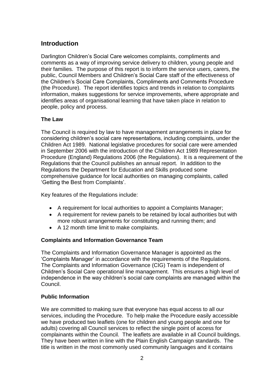# <span id="page-2-0"></span>**Introduction**

Darlington Children's Social Care welcomes complaints, compliments and comments as a way of improving service delivery to children, young people and their families. The purpose of this report is to inform the service users, carers, the public, Council Members and Children's Social Care staff of the effectiveness of the Children's Social Care Complaints, Compliments and Comments Procedure (the Procedure). The report identifies topics and trends in relation to complaints information, makes suggestions for service improvements, where appropriate and identifies areas of organisational learning that have taken place in relation to people, policy and process.

## <span id="page-2-1"></span>**The Law**

The Council is required by law to have management arrangements in place for considering children's social care representations, including complaints, under the Children Act 1989. National legislative procedures for social care were amended in September 2006 with the introduction of the Children Act 1989 Representation Procedure (England) Regulations 2006 (the Regulations). It is a requirement of the Regulations that the Council publishes an annual report. In addition to the Regulations the Department for Education and Skills produced some comprehensive guidance for local authorities on managing complaints, called 'Getting the Best from Complaints'.

Key features of the Regulations include:

- A requirement for local authorities to appoint a Complaints Manager;
- A requirement for review panels to be retained by local authorities but with more robust arrangements for constituting and running them; and
- A 12 month time limit to make complaints.

## <span id="page-2-2"></span>**Complaints and Information Governance Team**

The Complaints and Information Governance Manager is appointed as the 'Complaints Manager' in accordance with the requirements of the Regulations. The Complaints and Information Governance (CIG) Team is independent of Children's Social Care operational line management. This ensures a high level of independence in the way children's social care complaints are managed within the Council.

#### <span id="page-2-3"></span>**Public Information**

We are committed to making sure that everyone has equal access to all our services, including the Procedure. To help make the Procedure easily accessible we have produced two leaflets (one for children and young people and one for adults) covering all Council services to reflect the single point of access for complainants within the Council. The leaflets are available in all Council buildings. They have been written in line with the Plain English Campaign standards. The title is written in the most commonly used community languages and it contains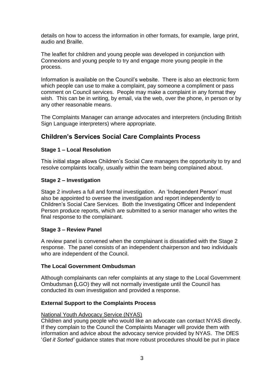details on how to access the information in other formats, for example, large print, audio and Braille.

The leaflet for children and young people was developed in conjunction with Connexions and young people to try and engage more young people in the process.

Information is available on the Council's website. There is also an electronic form which people can use to make a complaint, pay someone a compliment or pass comment on Council services. People may make a complaint in any format they wish. This can be in writing, by email, via the web, over the phone, in person or by any other reasonable means.

The Complaints Manager can arrange advocates and interpreters (including British Sign Language interpreters) where appropriate.

# <span id="page-3-0"></span>**Children's Services Social Care Complaints Process**

#### <span id="page-3-1"></span>**Stage 1 – Local Resolution**

This initial stage allows Children's Social Care managers the opportunity to try and resolve complaints locally, usually within the team being complained about.

#### <span id="page-3-2"></span>**Stage 2 – Investigation**

Stage 2 involves a full and formal investigation. An 'Independent Person' must also be appointed to oversee the investigation and report independently to Children's Social Care Services. Both the Investigating Officer and Independent Person produce reports, which are submitted to a senior manager who writes the final response to the complainant.

#### <span id="page-3-3"></span>**Stage 3 – Review Panel**

A review panel is convened when the complainant is dissatisfied with the Stage 2 response. The panel consists of an independent chairperson and two individuals who are independent of the Council.

#### <span id="page-3-4"></span>**The Local Government Ombudsman**

Although complainants can refer complaints at any stage to the Local Government Ombudsman **(**LGO) they will not normally investigate until the Council has conducted its own investigation and provided a response.

#### <span id="page-3-5"></span>**External Support to the Complaints Process**

#### National Youth Advocacy Service (NYAS)

Children and young people who would like an advocate can contact NYAS directly. If they complain to the Council the Complaints Manager will provide them with information and advice about the advocacy service provided by NYAS. The DfES '*Get it Sorted'* guidance states that more robust procedures should be put in place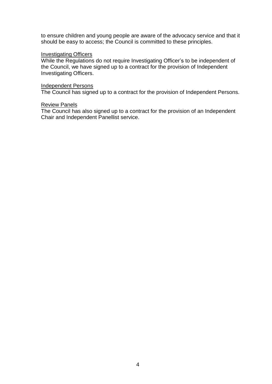to ensure children and young people are aware of the advocacy service and that it should be easy to access; the Council is committed to these principles.

#### **Investigating Officers**

While the Regulations do not require Investigating Officer's to be independent of the Council, we have signed up to a contract for the provision of Independent Investigating Officers.

#### Independent Persons

The Council has signed up to a contract for the provision of Independent Persons.

#### Review Panels

The Council has also signed up to a contract for the provision of an Independent Chair and Independent Panellist service.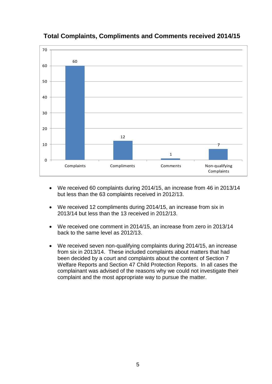

# <span id="page-5-0"></span>**Total Complaints, Compliments and Comments received 2014/15**

- We received 60 complaints during 2014/15, an increase from 46 in 2013/14 but less than the 63 complaints received in 2012/13.
- We received 12 compliments during 2014/15, an increase from six in 2013/14 but less than the 13 received in 2012/13.
- We received one comment in 2014/15, an increase from zero in 2013/14 back to the same level as 2012/13.
- We received seven non-qualifying complaints during 2014/15, an increase from six in 2013/14. These included complaints about matters that had been decided by a court and complaints about the content of Section 7 Welfare Reports and Section 47 Child Protection Reports. In all cases the complainant was advised of the reasons why we could not investigate their complaint and the most appropriate way to pursue the matter.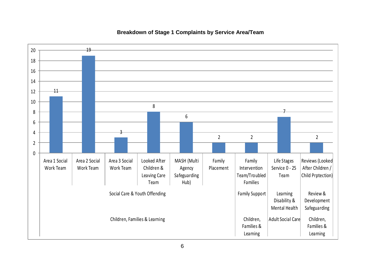<span id="page-6-0"></span>

#### **Breakdown of Stage 1 Complaints by Service Area/Team**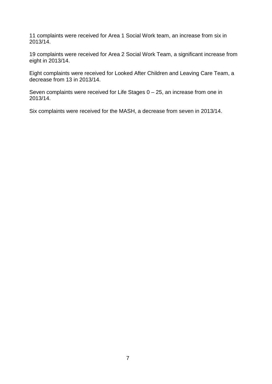11 complaints were received for Area 1 Social Work team, an increase from six in 2013/14.

19 complaints were received for Area 2 Social Work Team, a significant increase from eight in 2013/14.

Eight complaints were received for Looked After Children and Leaving Care Team, a decrease from 13 in 2013/14.

Seven complaints were received for Life Stages 0 – 25, an increase from one in 2013/14.

Six complaints were received for the MASH, a decrease from seven in 2013/14.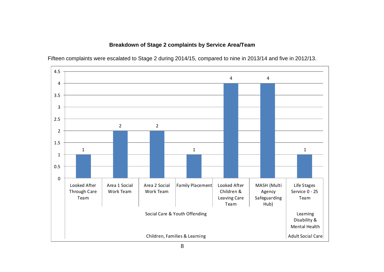#### **Breakdown of Stage 2 complaints by Service Area/Team**

<span id="page-8-0"></span>

Fifteen complaints were escalated to Stage 2 during 2014/15, compared to nine in 2013/14 and five in 2012/13.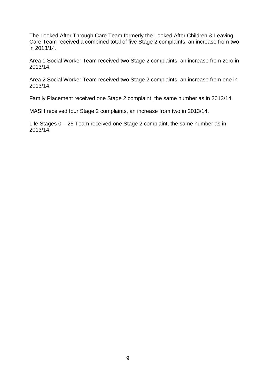The Looked After Through Care Team formerly the Looked After Children & Leaving Care Team received a combined total of five Stage 2 complaints, an increase from two in 2013/14.

Area 1 Social Worker Team received two Stage 2 complaints, an increase from zero in 2013/14.

Area 2 Social Worker Team received two Stage 2 complaints, an increase from one in 2013/14.

Family Placement received one Stage 2 complaint, the same number as in 2013/14.

MASH received four Stage 2 complaints, an increase from two in 2013/14.

Life Stages 0 – 25 Team received one Stage 2 complaint, the same number as in 2013/14.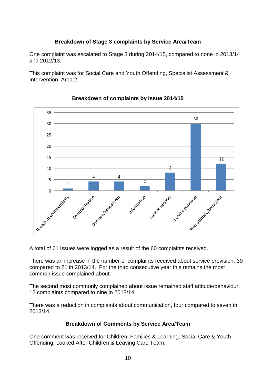## **Breakdown of Stage 3 complaints by Service Area/Team**

<span id="page-10-0"></span>One complaint was escalated to Stage 3 during 2014/15, compared to none in 2013/14 and 2012/13.

This complaint was for Social Care and Youth Offending, Specialist Assessment & Intervention, Area 2.

<span id="page-10-1"></span>

## **Breakdown of complaints by Issue 2014/15**

A total of 61 issues were logged as a result of the 60 complaints received.

There was an increase in the number of complaints received about service provision, 30 compared to 21 in 2013/14. For the third consecutive year this remains the most common issue complained about.

The second most commonly complained about issue remained staff attitude/behaviour, 12 complaints compared to nine in 2013/14.

There was a reduction in complaints about communication, four compared to seven in 2013/14.

## **Breakdown of Comments by Service Area/Team**

<span id="page-10-2"></span>One comment was received for Children, Families & Learning, Social Care & Youth Offending, Looked After Children & Leaving Care Team.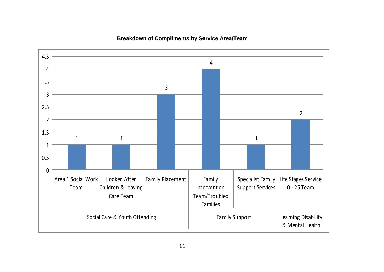<span id="page-11-0"></span>

#### **Breakdown of Compliments by Service Area/Team**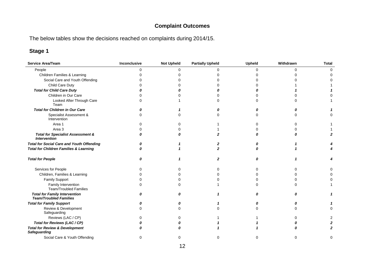# **Complaint Outcomes**

The below tables show the decisions reached on complaints during 2014/15.

<span id="page-12-1"></span><span id="page-12-0"></span>

| <b>Service Area/Team</b>                                              | Inconclusive | <b>Not Upheld</b> | <b>Partially Upheld</b> | Upheld | Withdrawn | <b>Total</b> |
|-----------------------------------------------------------------------|--------------|-------------------|-------------------------|--------|-----------|--------------|
| People                                                                | ∩            | 0                 | ∩                       | $\cap$ | 0         | $\Omega$     |
| Children Families & Learning                                          |              | ი                 |                         |        | U         |              |
| Social Care and Youth Offending                                       |              |                   |                         |        |           |              |
| Child Care Duty                                                       |              |                   |                         |        |           |              |
| <b>Total for Child Care Duty</b>                                      |              |                   |                         |        |           |              |
| Children in Our Care                                                  |              |                   |                         |        |           |              |
| Looked After Through Care<br>Team                                     |              |                   |                         |        | U         |              |
| <b>Total for Children in Our Care</b>                                 |              |                   |                         |        |           |              |
| Specialist Assessment &<br>Intervention                               | ∩            | n                 |                         |        | U         |              |
| Area 1                                                                |              | 0                 |                         |        | ∩         |              |
| Area 3                                                                |              |                   |                         |        | 0         |              |
| <b>Total for Specialist Assessment &amp;</b><br><b>Intervention</b>   |              | Λ                 |                         |        | Ω         |              |
| <b>Total for Social Care and Youth Offending</b>                      |              |                   |                         |        |           |              |
| <b>Total for Children Families &amp; Learning</b>                     |              |                   |                         |        |           |              |
| <b>Total for People</b>                                               | 0            |                   | 2                       | O      |           |              |
| Services for People                                                   |              | n                 |                         |        | O         |              |
| Children, Families & Learning                                         |              | n                 |                         |        | O         |              |
| Family Support                                                        |              | 0                 |                         |        | ∩         |              |
| Family Intervention<br><b>Team/Troubled Families</b>                  |              | 0                 |                         |        | ∩         |              |
| <b>Total for Family Intervention</b><br><b>Team/Troubled Families</b> | O            | Ω                 |                         |        | 0         |              |
| <b>Total for Family Support</b>                                       |              | Ω                 |                         |        |           |              |
| Review & Development<br>Safeguarding                                  | n            | <sup>0</sup>      |                         |        | 0         |              |
| Reviews (LAC / CP)                                                    |              | o                 |                         |        | O         |              |
| Total for Reviews (LAC / CP)                                          |              |                   |                         |        |           |              |
| <b>Total for Review &amp; Development</b><br><b>Safeguarding</b>      |              |                   |                         |        |           |              |
| Social Care & Youth Offending                                         | $\Omega$     | 0                 |                         | 0      | $\Omega$  | $\Omega$     |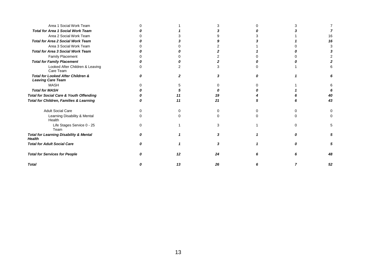| Area 1 Social Work Team                                            |    |    |  |    |
|--------------------------------------------------------------------|----|----|--|----|
| <b>Total for Area 1 Social Work Team</b>                           |    |    |  |    |
| Area 2 Social Work Team                                            |    |    |  | 16 |
| <b>Total for Area 2 Social Work Team</b>                           |    |    |  | 16 |
| Area 3 Social Work Team                                            |    |    |  |    |
| <b>Total for Area 3 Social Work Team</b>                           |    |    |  |    |
| Family Placement                                                   |    |    |  |    |
| <b>Total for Family Placement</b>                                  |    |    |  |    |
| Looked After Children & Leaving<br>Care Team                       |    |    |  |    |
| Total for Looked After Children &<br><b>Leaving Care Team</b>      |    |    |  |    |
| <b>MASH</b>                                                        |    |    |  |    |
| <b>Total for MASH</b>                                              |    |    |  |    |
| <b>Total for Social Care &amp; Youth Offending</b>                 |    |    |  | 40 |
| <b>Total for Children, Families &amp; Learning</b>                 | 11 | 21 |  | 43 |
| <b>Adult Social Care</b>                                           |    |    |  |    |
| Learning Disability & Mental<br>Health                             |    |    |  |    |
| Life Stages Service 0 - 25<br>Team                                 |    |    |  | 5  |
| <b>Total for Learning Disability &amp; Mental</b><br><b>Health</b> |    |    |  |    |
| <b>Total for Adult Social Care</b>                                 |    |    |  |    |
| <b>Total for Services for People</b>                               | 12 | 24 |  | 48 |
| <b>Total</b>                                                       | 13 | 26 |  | 52 |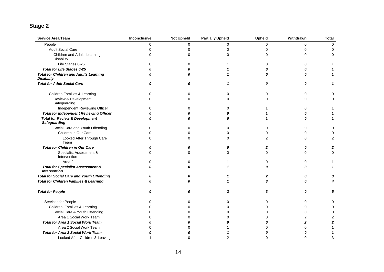<span id="page-14-0"></span>

| Service Area/Team                                                   | Inconclusive | <b>Not Upheld</b> | <b>Partially Upheld</b> | <b>Upheld</b>  | Withdrawn        | <b>Total</b>   |
|---------------------------------------------------------------------|--------------|-------------------|-------------------------|----------------|------------------|----------------|
| People                                                              | 0            | $\Omega$          | $\Omega$                | 0              | 0                | 0              |
| <b>Adult Social Care</b>                                            | O            | $\Omega$          | $\Omega$                | 0              | 0                | 0              |
| Children and Adults Learning<br>Disability                          | 0            | $\Omega$          | $\Omega$                | 0              | 0                | 0              |
| Life Stages 0-25                                                    | 0            | $\Omega$          |                         | 0              | $\Omega$         |                |
| <b>Total for Life Stages 0-25</b>                                   |              |                   |                         | 0              | 0                |                |
| <b>Total for Children and Adults Learning</b><br><b>Disability</b>  |              |                   |                         | $\Omega$       | 0                |                |
| <b>Total for Adult Social Care</b>                                  | O            | 0                 | 1                       | 0              | 0                | 1              |
| Children Families & Learning                                        | 0            | 0                 | $\Omega$                | 0              | 0                | 0              |
| Review & Development<br>Safeguarding                                | ∩            | $\Omega$          | $\Omega$                | $\Omega$       | $\Omega$         | 0              |
| Independent Reviewing Officer                                       |              | $\Omega$          | $\Omega$                |                | 0                |                |
| <b>Total for Independent Reviewing Officer</b>                      |              |                   | Λ                       |                | 0                |                |
| <b>Total for Review &amp; Development</b><br><b>Safeguarding</b>    |              | n                 | n                       |                | 0                |                |
| Social Care and Youth Offending                                     | 0            | $\Omega$          | $\Omega$                | $\Omega$       | $\Omega$         | $\Omega$       |
| Children in Our Care                                                |              | $\Omega$          | $\Omega$                | $\Omega$       | $\Omega$         | $\Omega$       |
| Looked After Through Care<br>Team                                   | ∩            | $\Omega$          | $\Omega$                | $\overline{2}$ | 0                | 2              |
| <b>Total for Children in Our Care</b>                               |              | 0                 | 0                       | $\mathbf{z}$   | 0                | 2              |
| Specialist Assessment &<br>Intervention                             | O            | $\Omega$          | $\Omega$                | $\Omega$       | 0                | $\Omega$       |
| Area 2                                                              |              | $\Omega$          |                         | 0              | 0                |                |
| <b>Total for Specialist Assessment &amp;</b><br><b>Intervention</b> | Ω            | 0                 |                         | 0              | $\boldsymbol{0}$ | $\mathbf{1}$   |
| <b>Total for Social Care and Youth Offending</b>                    |              |                   |                         | 2              | 0                | 3              |
| <b>Total for Children Families &amp; Learning</b>                   |              |                   |                         | 3              | $\Omega$         |                |
| <b>Total for People</b>                                             | 0            | 0                 | $\mathbf{z}$            | 3              | 0                | 5              |
| Services for People                                                 | ∩            | $\Omega$          | $\Omega$                | 0              | 0                | 0              |
| Children, Families & Learning                                       |              | $\Omega$          | $\Omega$                | 0              | 0                | $\Omega$       |
| Social Care & Youth Offending                                       |              | $\Omega$          | $\Omega$                | 0              | 0                | 0              |
| Area 1 Social Work Team                                             |              | O                 | 0                       | 0              | 2                |                |
| <b>Total for Area 1 Social Work Team</b>                            |              | O                 |                         | 0              | $\mathbf{2}$     | $\overline{2}$ |
| Area 2 Social Work Team                                             |              |                   |                         | 0              | $\Omega$         |                |
| <b>Total for Area 2 Social Work Team</b>                            |              |                   |                         |                |                  |                |
| Looked After Children & Leaving                                     |              | ∩                 |                         | $\Omega$       | $\Omega$         | 3              |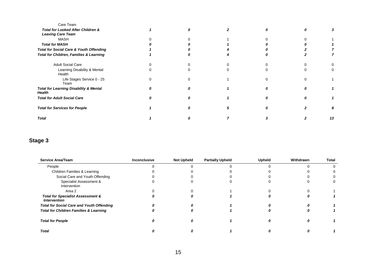| Care Team                                                     |  |  |    |
|---------------------------------------------------------------|--|--|----|
| Total for Looked After Children &<br><b>Leaving Care Team</b> |  |  |    |
| <b>MASH</b>                                                   |  |  |    |
| <b>Total for MASH</b>                                         |  |  |    |
| <b>Total for Social Care &amp; Youth Offending</b>            |  |  |    |
| Total for Children, Families & Learning                       |  |  |    |
| <b>Adult Social Care</b>                                      |  |  |    |
| Learning Disability & Mental<br>Health                        |  |  |    |
| Life Stages Service 0 - 25<br>Team                            |  |  |    |
| <b>Total for Learning Disability &amp; Mental</b><br>Health   |  |  |    |
| <b>Total for Adult Social Care</b>                            |  |  |    |
| <b>Total for Services for People</b>                          |  |  |    |
| <b>Total</b>                                                  |  |  | 13 |
|                                                               |  |  |    |

<span id="page-15-0"></span>

| <b>Service Area/Team</b>                                            | Inconclusive | <b>Not Upheld</b> | <b>Partially Upheld</b> | <b>Upheld</b> | Withdrawn | Total |
|---------------------------------------------------------------------|--------------|-------------------|-------------------------|---------------|-----------|-------|
| People                                                              |              |                   |                         |               |           |       |
| Children Families & Learning                                        |              |                   |                         |               |           |       |
| Social Care and Youth Offending                                     |              |                   |                         |               |           |       |
| Specialist Assessment &<br>Intervention                             |              |                   |                         |               |           |       |
| Area 2                                                              |              |                   |                         |               |           |       |
| <b>Total for Specialist Assessment &amp;</b><br><b>Intervention</b> |              |                   |                         |               |           |       |
| <b>Total for Social Care and Youth Offending</b>                    |              |                   |                         |               |           |       |
| <b>Total for Children Families &amp; Learning</b>                   |              |                   |                         |               |           |       |
| <b>Total for People</b>                                             |              |                   |                         |               |           |       |
| <b>Total</b>                                                        |              |                   |                         |               |           |       |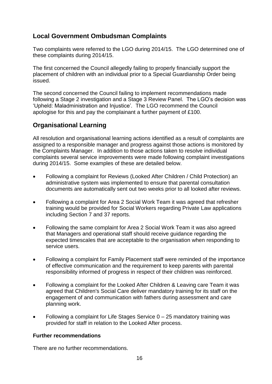# <span id="page-16-0"></span>**Local Government Ombudsman Complaints**

Two complaints were referred to the LGO during 2014/15. The LGO determined one of these complaints during 2014/15.

The first concerned the Council allegedly failing to properly financially support the placement of children with an individual prior to a Special Guardianship Order being issued.

The second concerned the Council failing to implement recommendations made following a Stage 2 investigation and a Stage 3 Review Panel. The LGO's decision was 'Upheld: Maladministration and Injustice'*.* The LGO recommend the Council apologise for this and pay the complainant a further payment of £100.

# <span id="page-16-1"></span>**Organisational Learning**

All resolution and organisational learning actions identified as a result of complaints are assigned to a responsible manager and progress against those actions is monitored by the Complaints Manager. In addition to those actions taken to resolve individual complaints several service improvements were made following complaint investigations during 2014/15. Some examples of these are detailed below.

- Following a complaint for Reviews (Looked After Children / Child Protection) an administrative system was implemented to ensure that parental consultation documents are automatically sent out two weeks prior to all looked after reviews.
- Following a complaint for Area 2 Social Work Team it was agreed that refresher training would be provided for Social Workers regarding Private Law applications including Section 7 and 37 reports.
- Following the same complaint for Area 2 Social Work Team it was also agreed that Managers and operational staff should receive guidance regarding the expected timescales that are acceptable to the organisation when responding to service users.
- Following a complaint for Family Placement staff were reminded of the importance of effective communication and the requirement to keep parents with parental responsibility informed of progress in respect of their children was reinforced.
- Following a complaint for the Looked After Children & Leaving care Team it was agreed that Children's Social Care deliver mandatory training for its staff on the engagement of and communication with fathers during assessment and care planning work.
- Following a complaint for Life Stages Service 0 25 mandatory training was provided for staff in relation to the Looked After process.

## <span id="page-16-2"></span>**Further recommendations**

There are no further recommendations.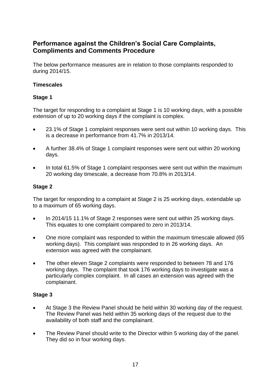# <span id="page-17-0"></span>**Performance against the Children's Social Care Complaints, Compliments and Comments Procedure**

The below performance measures are in relation to those complaints responded to during 2014/15.

## <span id="page-17-1"></span>**Timescales**

## <span id="page-17-2"></span>**Stage 1**

The target for responding to a complaint at Stage 1 is 10 working days, with a possible extension of up to 20 working days if the complaint is complex.

- 23.1% of Stage 1 complaint responses were sent out within 10 working days. This is a decrease in performance from 41.7% in 2013/14.
- A further 38.4% of Stage 1 complaint responses were sent out within 20 working days.
- In total 61.5% of Stage 1 complaint responses were sent out within the maximum 20 working day timescale, a decrease from 70.8% in 2013/14.

## <span id="page-17-3"></span>**Stage 2**

The target for responding to a complaint at Stage 2 is 25 working days, extendable up to a maximum of 65 working days.

- In 2014/15 11.1% of Stage 2 responses were sent out within 25 working days. This equates to one complaint compared to zero in 2013/14.
- One more complaint was responded to within the maximum timescale allowed (65 working days). This complaint was responded to in 26 working days. An extension was agreed with the complainant.
- The other eleven Stage 2 complaints were responded to between 78 and 176 working days. The complaint that took 176 working days to investigate was a particularly complex complaint. In all cases an extension was agreed with the complainant.

- <span id="page-17-4"></span> At Stage 3 the Review Panel should be held within 30 working day of the request. The Review Panel was held within 35 working days of the request due to the availability of both staff and the complainant.
- The Review Panel should write to the Director within 5 working day of the panel. They did so in four working days.